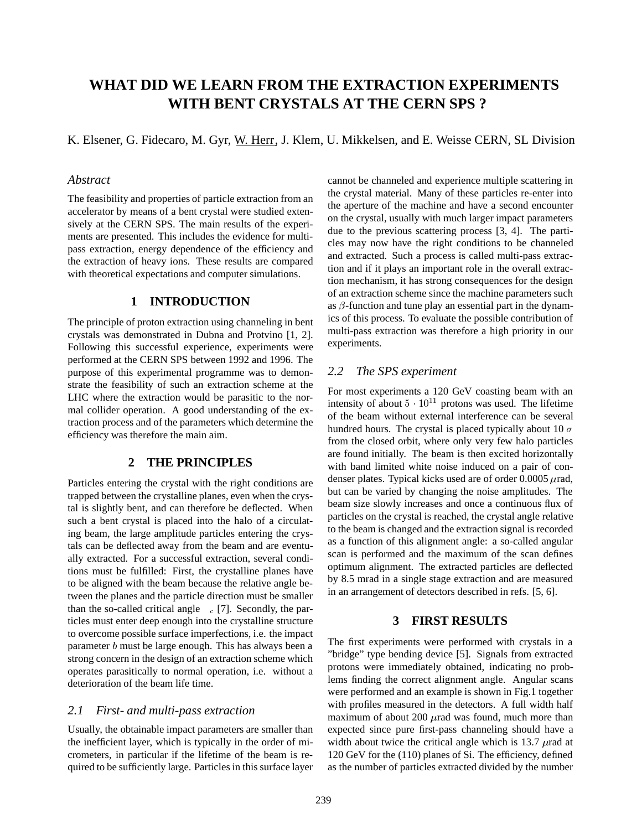# **WHAT DID WE LEARN FROM THE EXTRACTION EXPERIMENTS WITH BENT CRYSTALS AT THE CERN SPS ?**

K. Elsener, G. Fidecaro, M. Gyr, W. Herr, J. Klem, U. Mikkelsen, and E. Weisse CERN, SL Division

### *Abstract*

The feasibility and properties of particle extraction from an accelerator by means of a bent crystal were studied extensively at the CERN SPS. The main results of the experiments are presented. This includes the evidence for multipass extraction, energy dependence of the efficiency and the extraction of heavy ions. These results are compared with theoretical expectations and computer simulations.

#### **1 INTRODUCTION**

The principle of proton extraction using channeling in bent crystals was demonstrated in Dubna and Protvino [1, 2]. Following this successful experience, experiments were performed at the CERN SPS between 1992 and 1996. The purpose of this experimental programme was to demonstrate the feasibility of such an extraction scheme at the LHC where the extraction would be parasitic to the normal collider operation. A good understanding of the extraction process and of the parameters which determine the efficiency was therefore the main aim.

## **2 THE PRINCIPLES**

Particles entering the crystal with the right conditions are trapped between the crystalline planes, even when the crystal is slightly bent, and can therefore be deflected. When such a bent crystal is placed into the halo of a circulating beam, the large amplitude particles entering the crystals can be deflected away from the beam and are eventually extracted. For a successful extraction, several conditions must be fulfilled: First, the crystalline planes have to be aligned with the beam because the relative angle between the planes and the particle direction must be smaller than the so-called critical angle  $c_c$  [7]. Secondly, the particles must enter deep enough into the crystalline structure to overcome possible surface imperfections, i.e. the impact parameter <sup>b</sup> must be large enough. This has always been a strong concern in the design of an extraction scheme which operates parasitically to normal operation, i.e. without a deterioration of the beam life time.

### *2.1 First- and multi-pass extraction*

Usually, the obtainable impact parameters are smaller than the inefficient layer, which is typically in the order of micrometers, in particular if the lifetime of the beam is required to be sufficiently large. Particles in this surface layer cannot be channeled and experience multiple scattering in the crystal material. Many of these particles re-enter into the aperture of the machine and have a second encounter on the crystal, usually with much larger impact parameters due to the previous scattering process [3, 4]. The particles may now have the right conditions to be channeled and extracted. Such a process is called multi-pass extraction and if it plays an important role in the overall extraction mechanism, it has strong consequences for the design of an extraction scheme since the machine parameters such as  $\beta$ -function and tune play an essential part in the dynamics of this process. To evaluate the possible contribution of multi-pass extraction was therefore a high priority in our experiments.

## *2.2 The SPS experiment*

For most experiments a 120 GeV coasting beam with an intensity of about  $5 \cdot 10^{11}$  protons was used. The lifetime of the beam without external interference can be several hundred hours. The crystal is placed typically about 10  $\sigma$ from the closed orbit, where only very few halo particles are found initially. The beam is then excited horizontally with band limited white noise induced on a pair of condenser plates. Typical kicks used are of order  $0.0005$   $\mu$ rad, but can be varied by changing the noise amplitudes. The beam size slowly increases and once a continuous flux of particles on the crystal is reached, the crystal angle relative to the beam is changed and the extraction signal is recorded as a function of this alignment angle: a so-called angular scan is performed and the maximum of the scan defines optimum alignment. The extracted particles are deflected by 8.5 mrad in a single stage extraction and are measured in an arrangement of detectors described in refs. [5, 6].

## **3 FIRST RESULTS**

The first experiments were performed with crystals in a "bridge" type bending device [5]. Signals from extracted protons were immediately obtained, indicating no problems finding the correct alignment angle. Angular scans were performed and an example is shown in Fig.1 together with profiles measured in the detectors. A full width half maximum of about 200  $\mu$  rad was found, much more than expected since pure first-pass channeling should have a width about twice the critical angle which is 13.7  $\mu$ rad at 120 GeV for the (110) planes of Si. The efficiency, defined as the number of particles extracted divided by the number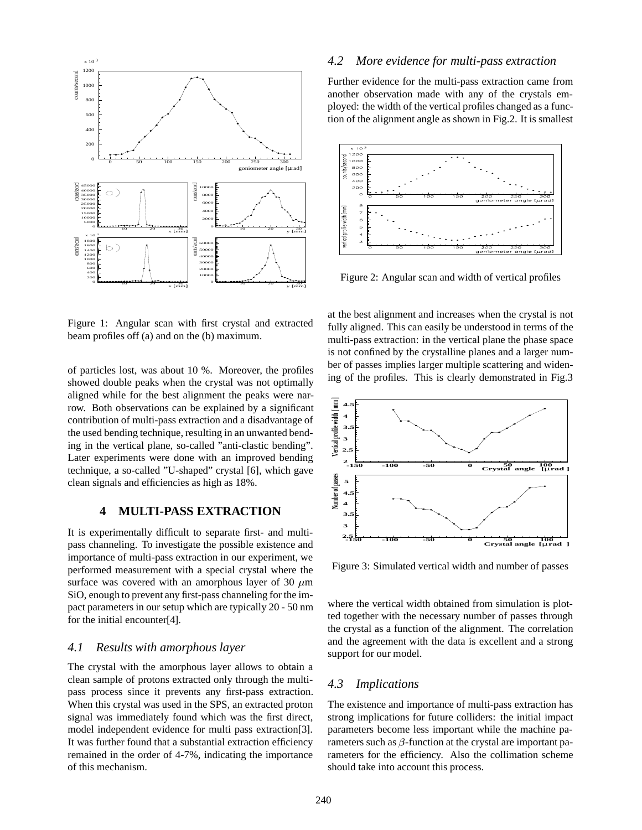

Figure 1: Angular scan with first crystal and extracted beam profiles off (a) and on the (b) maximum.

of particles lost, was about 10 %. Moreover, the profiles showed double peaks when the crystal was not optimally aligned while for the best alignment the peaks were narrow. Both observations can be explained by a significant contribution of multi-pass extraction and a disadvantage of the used bending technique, resulting in an unwanted bending in the vertical plane, so-called "anti-clastic bending". Later experiments were done with an improved bending technique, a so-called "U-shaped" crystal [6], which gave clean signals and efficiencies as high as 18%.

#### **4 MULTI-PASS EXTRACTION**

It is experimentally difficult to separate first- and multipass channeling. To investigate the possible existence and importance of multi-pass extraction in our experiment, we performed measurement with a special crystal where the surface was covered with an amorphous layer of 30  $\mu$ m SiO, enough to prevent any first-pass channeling for the impact parameters in our setup which are typically 20 - 50 nm for the initial encounter[4].

#### *4.1 Results with amorphous layer*

The crystal with the amorphous layer allows to obtain a clean sample of protons extracted only through the multipass process since it prevents any first-pass extraction. When this crystal was used in the SPS, an extracted proton signal was immediately found which was the first direct, model independent evidence for multi pass extraction[3]. It was further found that a substantial extraction efficiency remained in the order of 4-7%, indicating the importance of this mechanism.

#### *4.2 More evidence for multi-pass extraction*

Further evidence for the multi-pass extraction came from another observation made with any of the crystals employed: the width of the vertical profiles changed as a function of the alignment angle as shown in Fig.2. It is smallest



Figure 2: Angular scan and width of vertical profiles

at the best alignment and increases when the crystal is not fully aligned. This can easily be understood in terms of the multi-pass extraction: in the vertical plane the phase space is not confined by the crystalline planes and a larger number of passes implies larger multiple scattering and widening of the profiles. This is clearly demonstrated in Fig.3



Figure 3: Simulated vertical width and number of passes

where the vertical width obtained from simulation is plotted together with the necessary number of passes through the crystal as a function of the alignment. The correlation and the agreement with the data is excellent and a strong support for our model.

### *4.3 Implications*

The existence and importance of multi-pass extraction has strong implications for future colliders: the initial impact parameters become less important while the machine parameters such as  $\beta$ -function at the crystal are important parameters for the efficiency. Also the collimation scheme should take into account this process.